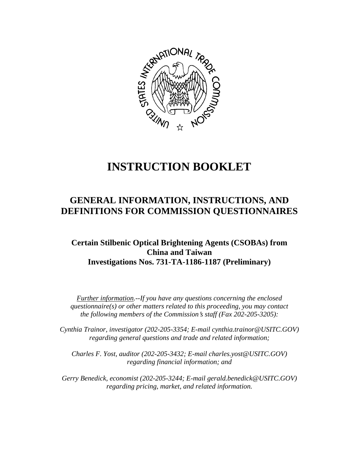

# **INSTRUCTION BOOKLET**

## **GENERAL INFORMATION, INSTRUCTIONS, AND DEFINITIONS FOR COMMISSION QUESTIONNAIRES**

### **Certain Stilbenic Optical Brightening Agents (CSOBAs) from China and Taiwan Investigations Nos. 731-TA-1186-1187 (Preliminary)**

*Further information.--If you have any questions concerning the enclosed questionnaire(s) or other matters related to this proceeding, you may contact the following members of the Commission*=*s staff (Fax 202-205-3205):* 

 *Cynthia Trainor, investigator (202-205-3354; E-mail cynthia.trainor@USITC.GOV) regarding general questions and trade and related information;* 

 *Charles F. Yost, auditor (202-205-3432; E-mail charles.yost@USITC.GOV) regarding financial information; and* 

 *Gerry Benedick, economist (202-205-3244; E-mail gerald.benedick@USITC.GOV) regarding pricing, market, and related information.*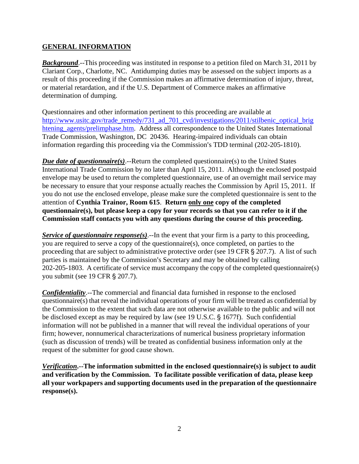#### **GENERAL INFORMATION**

**Background.**--This proceeding was instituted in response to a petition filed on March 31, 2011 by Clariant Corp., Charlotte, NC. Antidumping duties may be assessed on the subject imports as a result of this proceeding if the Commission makes an affirmative determination of injury, threat, or material retardation, and if the U.S. Department of Commerce makes an affirmative determination of dumping.

Questionnaires and other information pertinent to this proceeding are available at http://www.usitc.gov/trade\_remedy/731\_ad\_701\_cvd/investigations/2011/stilbenic\_optical\_brig htening\_agents/prelimphase.htm. Address all correspondence to the United States International Trade Commission, Washington, DC 20436. Hearing-impaired individuals can obtain information regarding this proceeding via the Commission's TDD terminal (202-205-1810).

*Due date of questionnaire(s)*.--Return the completed questionnaire(s) to the United States International Trade Commission by no later than April 15, 2011. Although the enclosed postpaid envelope may be used to return the completed questionnaire, use of an overnight mail service may be necessary to ensure that your response actually reaches the Commission by April 15, 2011. If you do not use the enclosed envelope, please make sure the completed questionnaire is sent to the attention of **Cynthia Trainor, Room 615**. **Return only one copy of the completed questionnaire(s), but please keep a copy for your records so that you can refer to it if the Commission staff contacts you with any questions during the course of this proceeding.**

*Service of questionnaire response(s)*.--In the event that your firm is a party to this proceeding, you are required to serve a copy of the questionnaire(s), once completed, on parties to the proceeding that are subject to administrative protective order (see 19 CFR  $\S 207.7$ ). A list of such parties is maintained by the Commission's Secretary and may be obtained by calling 202-205-1803. A certificate of service must accompany the copy of the completed questionnaire(s) you submit (see 19 CFR § 207.7).

*Confidentiality*.--The commercial and financial data furnished in response to the enclosed questionnaire(s) that reveal the individual operations of your firm will be treated as confidential by the Commission to the extent that such data are not otherwise available to the public and will not be disclosed except as may be required by law (see 19 U.S.C.  $\S$  1677f). Such confidential information will not be published in a manner that will reveal the individual operations of your firm; however, nonnumerical characterizations of numerical business proprietary information (such as discussion of trends) will be treated as confidential business information only at the request of the submitter for good cause shown.

*Verification***.--The information submitted in the enclosed questionnaire(s) is subject to audit and verification by the Commission. To facilitate possible verification of data, please keep all your workpapers and supporting documents used in the preparation of the questionnaire response(s).**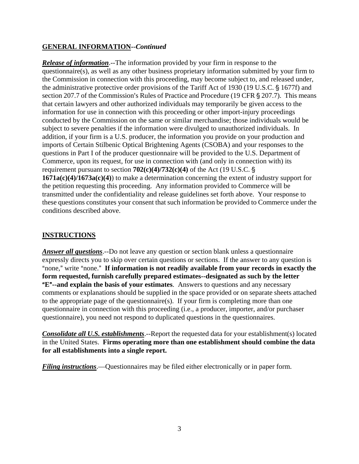#### **GENERAL INFORMATION--***Continued*

*Release of information*.--The information provided by your firm in response to the questionnaire(s), as well as any other business proprietary information submitted by your firm to the Commission in connection with this proceeding, may become subject to, and released under, the administrative protective order provisions of the Tariff Act of 1930 (19 U.S.C. § 1677f) and section 207.7 of the Commission's Rules of Practice and Procedure (19 CFR  $\S$  207.7). This means that certain lawyers and other authorized individuals may temporarily be given access to the information for use in connection with this proceeding or other import-injury proceedings conducted by the Commission on the same or similar merchandise; those individuals would be subject to severe penalties if the information were divulged to unauthorized individuals. In addition, if your firm is a U.S. producer, the information you provide on your production and imports of Certain Stilbenic Optical Brightening Agents (CSOBA) and your responses to the questions in Part I of the producer questionnaire will be provided to the U.S. Department of Commerce, upon its request, for use in connection with (and only in connection with) its requirement pursuant to section  $702(c)(4)/732(c)(4)$  of the Act (19 U.S.C. § **1671a(c)(4)/1673a(c)(4)**) to make a determination concerning the extent of industry support for the petition requesting this proceeding. Any information provided to Commerce will be transmitted under the confidentiality and release guidelines set forth above. Your response to these questions constitutes your consent that such information be provided to Commerce under the conditions described above.

#### **INSTRUCTIONS**

*Answer all questions*.--Do not leave any question or section blank unless a questionnaire expressly directs you to skip over certain questions or sections. If the answer to any question is "none," write "none." If information is not readily available from your records in exactly the **form requested, furnish carefully prepared estimates--designated as such by the letter E<sup>"</sup>--and explain the basis of your estimates**. Answers to questions and any necessary comments or explanations should be supplied in the space provided or on separate sheets attached to the appropriate page of the questionnaire(s). If your firm is completing more than one questionnaire in connection with this proceeding (i.e., a producer, importer, and/or purchaser questionnaire), you need not respond to duplicated questions in the questionnaires.

*Consolidate all U.S. establishments*.--Report the requested data for your establishment(s) located in the United States. **Firms operating more than one establishment should combine the data for all establishments into a single report.**

*Filing instructions*.—Questionnaires may be filed either electronically or in paper form.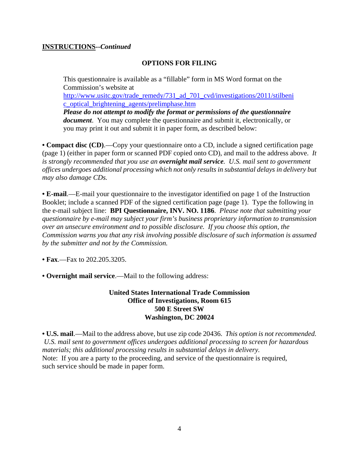#### **INSTRUCTIONS--***Continued*

#### **OPTIONS FOR FILING**

This questionnaire is available as a "fillable" form in MS Word format on the Commission's website at

http://www.usitc.gov/trade\_remedy/731\_ad\_701\_cvd/investigations/2011/stilbeni c\_optical\_brightening\_agents/prelimphase.htm

*Please do not attempt to modify the format or permissions of the questionnaire document*. You may complete the questionnaire and submit it, electronically, or you may print it out and submit it in paper form, as described below:

**• Compact disc (CD)**.—Copy your questionnaire onto a CD, include a signed certification page (page 1) (either in paper form or scanned PDF copied onto CD), and mail to the address above. *It is strongly recommended that you use an overnight mail service. U.S. mail sent to government offices undergoes additional processing which not only results in substantial delays in delivery but may also damage CDs.* 

**• E-mail**.—E-mail your questionnaire to the investigator identified on page 1 of the Instruction Booklet; include a scanned PDF of the signed certification page (page 1). Type the following in the e-mail subject line: **BPI Questionnaire, INV. NO. 1186**. *Please note that submitting your questionnaire by e-mail may subject your firm's business proprietary information to transmission over an unsecure environment and to possible disclosure. If you choose this option, the Commission warns you that any risk involving possible disclosure of such information is assumed by the submitter and not by the Commission.* 

**• Fax**.—Fax to 202.205.3205.

**• Overnight mail service**.—Mail to the following address:

#### **United States International Trade Commission Office of Investigations, Room 615 500 E Street SW Washington, DC 20024**

**• U.S. mail**.—Mail to the address above, but use zip code 20436. *This option is not recommended. U.S. mail sent to government offices undergoes additional processing to screen for hazardous materials; this additional processing results in substantial delays in delivery.*  Note: If you are a party to the proceeding, and service of the questionnaire is required, such service should be made in paper form.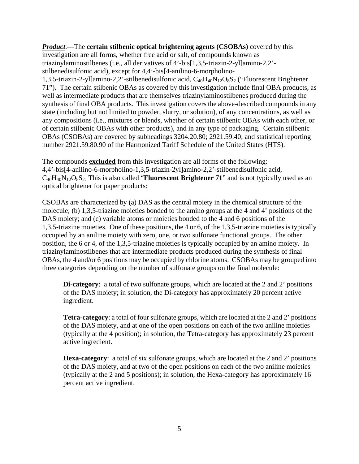*Product*.—The **certain stilbenic optical brightening agents (CSOBAs)** covered by this investigation are all forms, whether free acid or salt, of compounds known as triazinylaminostilbenes (i.e., all derivatives of 4'-bis[1,3,5-triazin-2-yl]amino-2,2' stilbenedisulfonic acid), except for 4,4'-bis[4-anilino-6-morpholino-1,3,5-triazin-2-yl]amino-2,2'-stilbenedisulfonic acid, C<sub>40</sub>H<sub>40</sub>N<sub>12</sub>O<sub>8</sub>S<sub>2</sub> ("Fluorescent Brightener 71"). The certain stilbenic OBAs as covered by this investigation include final OBA products, as well as intermediate products that are themselves triazinylaminostilbenes produced during the synthesis of final OBA products. This investigation covers the above-described compounds in any state (including but not limited to powder, slurry, or solution), of any concentrations, as well as any compositions (i.e., mixtures or blends, whether of certain stilbenic OBAs with each other, or of certain stilbenic OBAs with other products), and in any type of packaging. Certain stilbenic OBAs (CSOBAs) are covered by subheadings 3204.20.80; 2921.59.40; and statistical reporting number 2921.59.80.90 of the Harmonized Tariff Schedule of the United States (HTS).

The compounds **excluded** from this investigation are all forms of the following: 4,4'-bis[4-anilino-6-morpholino-1,3,5-triazin-2yl]amino-2,2'-stilbenedisulfonic acid,  $C_{40}H_{40}N_{12}O_8S_2$ . This is also called "**Fluorescent Brightener 71**" and is not typically used as an optical brightener for paper products:

CSOBAs are characterized by (a) DAS as the central moiety in the chemical structure of the molecule; (b) 1,3,5-triazine moieties bonded to the amino groups at the 4 and 4' positions of the DAS moiety; and (c) variable atoms or moieties bonded to the 4 and 6 positions of the 1,3,5-triazine moieties. One of these positions, the 4 or 6, of the 1,3,5-triazine moieties is typically occupied by an aniline moiety with zero, one, or two sulfonate functional groups. The other position, the 6 or 4, of the 1,3,5-triazine moieties is typically occupied by an amino moiety. In triazinylaminostilbenes that are intermediate products produced during the synthesis of final OBAs, the 4 and/or 6 positions may be occupied by chlorine atoms. CSOBAs may be grouped into three categories depending on the number of sulfonate groups on the final molecule:

**Di-category:** a total of two sulfonate groups, which are located at the 2 and 2' positions of the DAS moiety; in solution, the Di-category has approximately 20 percent active ingredient.

**Tetra-category**: a total of four sulfonate groups, which are located at the 2 and 2' positions of the DAS moiety, and at one of the open positions on each of the two aniline moieties (typically at the 4 position); in solution, the Tetra-category has approximately 23 percent active ingredient.

**Hexa-category**: a total of six sulfonate groups, which are located at the 2 and 2' positions of the DAS moiety, and at two of the open positions on each of the two aniline moieties (typically at the 2 and 5 positions); in solution, the Hexa-category has approximately 16 percent active ingredient.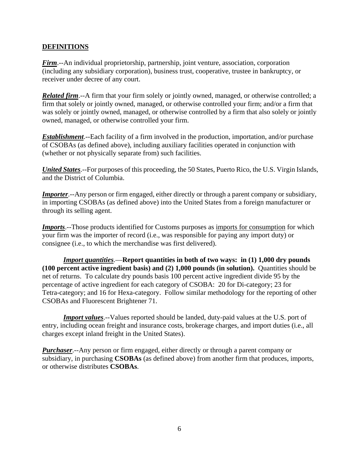#### **DEFINITIONS**

*Firm*.--An individual proprietorship, partnership, joint venture, association, corporation (including any subsidiary corporation), business trust, cooperative, trustee in bankruptcy, or receiver under decree of any court.

*Related firm*.--A firm that your firm solely or jointly owned, managed, or otherwise controlled; a firm that solely or jointly owned, managed, or otherwise controlled your firm; and/or a firm that was solely or jointly owned, managed, or otherwise controlled by a firm that also solely or jointly owned, managed, or otherwise controlled your firm.

*Establishment*.--Each facility of a firm involved in the production, importation, and/or purchase of CSOBAs (as defined above), including auxiliary facilities operated in conjunction with (whether or not physically separate from) such facilities.

*United States*.--For purposes of this proceeding, the 50 States, Puerto Rico, the U.S. Virgin Islands, and the District of Columbia.

*Importer*.--Any person or firm engaged, either directly or through a parent company or subsidiary, in importing CSOBAs (as defined above) into the United States from a foreign manufacturer or through its selling agent.

*Imports*.--Those products identified for Customs purposes as imports for consumption for which your firm was the importer of record (i.e., was responsible for paying any import duty) or consignee (i.e., to which the merchandise was first delivered).

*Import quantities*.—**Report quantities in both of two ways: in (1) 1,000 dry pounds (100 percent active ingredient basis) and (2) 1,000 pounds (in solution).** Quantities should be net of returns. To calculate dry pounds basis 100 percent active ingredient divide 95 by the percentage of active ingredient for each category of CSOBA: 20 for Di-category; 23 for Tetra-category; and 16 for Hexa-category. Follow similar methodology for the reporting of other CSOBAs and Fluorescent Brightener 71.

*Import values*.--Values reported should be landed, duty-paid values at the U.S. port of entry, including ocean freight and insurance costs, brokerage charges, and import duties (i.e., all charges except inland freight in the United States).

*Purchaser*.--Any person or firm engaged, either directly or through a parent company or subsidiary, in purchasing **CSOBAs** (as defined above) from another firm that produces, imports, or otherwise distributes **CSOBAs**.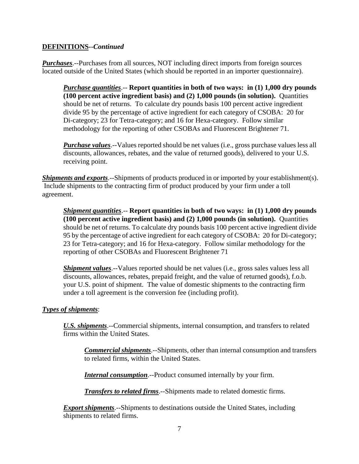#### **DEFINITIONS--***Continued*

*Purchases*.--Purchases from all sources, NOT including direct imports from foreign sources located outside of the United States (which should be reported in an importer questionnaire).

*Purchase quantities*.-- **Report quantities in both of two ways: in (1) 1,000 dry pounds (100 percent active ingredient basis) and (2) 1,000 pounds (in solution).** Quantities should be net of returns. To calculate dry pounds basis 100 percent active ingredient divide 95 by the percentage of active ingredient for each category of CSOBA: 20 for Di-category; 23 for Tetra-category; and 16 for Hexa-category. Follow similar methodology for the reporting of other CSOBAs and Fluorescent Brightener 71.

*Purchase values*.--Values reported should be net values (i.e., gross purchase values less all discounts, allowances, rebates, and the value of returned goods), delivered to your U.S. receiving point.

*Shipments and exports*.--Shipments of products produced in or imported by your establishment(s). Include shipments to the contracting firm of product produced by your firm under a toll agreement.

*Shipment quantities*.-- **Report quantities in both of two ways: in (1) 1,000 dry pounds (100 percent active ingredient basis) and (2) 1,000 pounds (in solution).** Quantities should be net of returns. To calculate dry pounds basis 100 percent active ingredient divide 95 by the percentage of active ingredient for each category of CSOBA: 20 for Di-category; 23 for Tetra-category; and 16 for Hexa-category. Follow similar methodology for the reporting of other CSOBAs and Fluorescent Brightener 71

*Shipment values*.--Values reported should be net values (i.e., gross sales values less all discounts, allowances, rebates, prepaid freight, and the value of returned goods), f.o.b. your U.S. point of shipment. The value of domestic shipments to the contracting firm under a toll agreement is the conversion fee (including profit).

#### *Types of shipments*:

*U.S. shipments*.--Commercial shipments, internal consumption, and transfers to related firms within the United States.

*Commercial shipments*.--Shipments, other than internal consumption and transfers to related firms, within the United States.

*Internal consumption*.--Product consumed internally by your firm.

*Transfers to related firms*.--Shipments made to related domestic firms.

**Export shipments**.--Shipments to destinations outside the United States, including shipments to related firms.